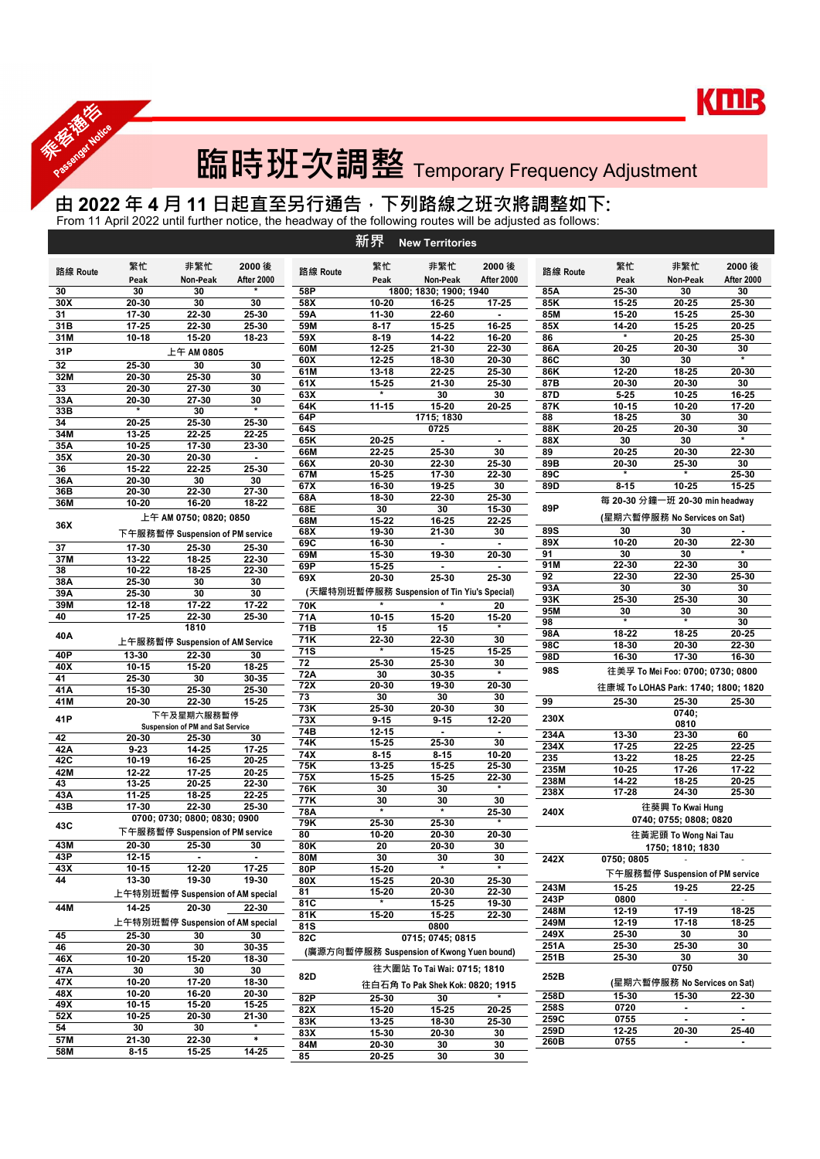

## 臨時班次調整 Temporary Frequency Adjustment

## 由 2022 年 4 月 11 日起直至另行通告<sup>,</sup>下列路線之班次將調整如下:

From 11 April 2022 until further notice, the headway of the following routes will be adjusted as follows:

|            |                  |                                  |                |            | 新界                                          | <b>New Territories</b>           |                  |              |                |                                     |                  |
|------------|------------------|----------------------------------|----------------|------------|---------------------------------------------|----------------------------------|------------------|--------------|----------------|-------------------------------------|------------------|
|            | 繁忙               | 非繁忙                              | 2000 後         |            | 繁忙                                          | 非繁忙                              | 2000 後           |              | 繁忙             | 非繁忙                                 | 2000 後           |
| 路線 Route   | Peak             | Non-Peak                         | After 2000     | 路線 Route   | Peak                                        | Non-Peak                         | After 2000       | 路線 Route     | Peak           | Non-Peak                            | After 2000       |
| 30         | 30               | 30                               |                | 58P        |                                             | 1800; 1830; 1900; 1940           |                  | 85A          | 25-30          | 30                                  | 30               |
| 30X<br>31  | 20-30<br>17-30   | 30<br>22-30                      | 30<br>25-30    | 58X<br>59A | 10-20<br>11-30                              | 16-25<br>22-60                   | 17-25<br>$\sim$  | 85K<br>85M   | 15-25<br>15-20 | $20 - 25$<br>$15 - 25$              | 25-30<br>25-30   |
| 31B        | 17-25            | 22-30                            | 25-30          | 59M        | $8 - 17$                                    | 15-25                            | 16-25            | 85X          | 14-20          | $15 - 25$                           | 20-25            |
| 31M        | $10 - 18$        | 15-20                            | 18-23          | 59X        | $8 - 19$                                    | 14-22                            | 16-20            | 86           | $\star$        | 20-25                               | 25-30            |
| 31P        |                  | 上午 AM 0805                       |                | 60M        | 12-25                                       | 21-30                            | 22-30            | 86A          | 20-25          | 20-30                               | 30               |
| 32         | 25-30            | 30                               | 30             | 60X<br>61M | 12-25<br>13-18                              | 18-30<br>22-25                   | 20-30<br>25-30   | 86C<br>86K   | 30<br>12-20    | 30<br>18-25                         | $\star$<br>20-30 |
| 32M        | 20-30            | 25-30                            | 30             | 61X        | 15-25                                       | 21-30                            | 25-30            | 87B          | 20-30          | 20-30                               | 30               |
| 33         | 20-30            | 27-30                            | 30             | 63X        | $\star$                                     | 30                               | 30               | 87D          | $5 - 25$       | 10-25                               | 16-25            |
| 33A<br>33B | 20-30<br>$\star$ | 27-30<br>30                      | 30<br>$\star$  | 64K        | $11 - 15$                                   | 15-20                            | 20-25            | 87K          | $10 - 15$      | 10-20                               | 17-20            |
| 34         | 20-25            | 25-30                            | 25-30          | 64P        |                                             | 1715; 1830                       |                  | 88           | 18-25          | 30                                  | 30               |
| 34M        | 13-25            | 22-25                            | 22-25          | 64S        | 20-25                                       | 0725                             |                  | 88K<br>88X   | 20-25          | 20-30<br>30                         | 30<br>$\star$    |
| 35A        | 10-25            | 17-30                            | 23-30          | 65K<br>66M | 22-25                                       | $\sim$<br>25-30                  | $\sim$<br>30     | 89           | 30<br>20-25    | 20-30                               | 22-30            |
| 35X        | 20-30            | 20-30                            | $\sim$         | 66X        | 20-30                                       | 22-30                            | 25-30            | 89B          | 20-30          | 25-30                               | 30               |
| 36<br>36A  | 15-22<br>20-30   | 22-25<br>30                      | 25-30<br>30    | 67M        | 15-25                                       | 17-30                            | 22-30            | 89C          |                | $\star$                             | 25-30            |
| 36B        | 20-30            | 22-30                            | 27-30          | 67X        | 16-30                                       | 19-25                            | 30               | 89D          | $8 - 15$       | 10-25                               | 15-25            |
| 36M        | 10-20            | 16-20                            | 18-22          | 68A        | 18-30                                       | 22-30                            | 25-30            |              |                | 每 20-30 分鐘一班 20-30 min headway      |                  |
|            |                  | 上午 AM 0750; 0820; 0850           |                | 68E<br>68M | 30<br>15-22                                 | 30<br>16-25                      | 15-30<br>22-25   | 89P          |                | (星期六暫停服務 No Services on Sat)        |                  |
| 36X        |                  | 下午服務暫停 Suspension of PM service  |                | 68X        | 19-30                                       | 21-30                            | 30               | 89S          | 30             | 30                                  | $\sim$           |
| 37         | 17-30            | 25-30                            | 25-30          | 69C        | 16-30                                       | $\sim$                           | $\sim$           | 89X          | 10-20          | 20-30                               | 22-30            |
| 37M        | 13-22            | 18-25                            | 22-30          | 69M        | 15-30                                       | 19-30                            | 20-30            | 91           | 30             | 30                                  | $\star$          |
| 38         | 10-22            | 18-25                            | 22-30          | 69P        | 15-25                                       | $\sim$                           | $\sim$           | 91M          | 22-30<br>22-30 | 22-30<br>22-30                      | 30<br>25-30      |
| 38A        | 25-30            | 30                               | 30             | 69X        | 20-30                                       | 25-30                            | 25-30            | 92<br>93A    | 30             | 30                                  | 30               |
| 39A        | 25-30            | 30                               | 30             |            | (天耀特別班暫停服務 Suspension of Tin Yiu's Special) |                                  |                  | 93K          | 25-30          | 25-30                               | 30               |
| 39M<br>40  | 12-18<br>17-25   | $17 - 22$<br>22-30               | 17-22<br>25-30 | 70K<br>71A |                                             |                                  | 20               | 95M          | 30             | 30                                  | 30               |
|            |                  | 1810                             |                | 71B        | $10 - 15$<br>15                             | 15-20<br>15                      | 15-20            | 98           | $\star$        | $\star$                             | 30               |
| 40A        |                  | 上午服務暫停 Suspension of AM Service  |                | 71K        | 22-30                                       | 22-30                            | 30               | 98A          | 18-22          | 18-25                               | 20-25            |
| 40P        | 13-30            | 22-30                            | 30             | <b>71S</b> | $\star$                                     | 15-25                            | 15-25            | 98C          | 18-30          | 20-30                               | 22-30            |
| 40X        | 10-15            | 15-20                            | 18-25          | 72         | 25-30                                       | 25-30                            | 30               | 98D          | 16-30          | 17-30                               | 16-30            |
| 41         | $25 - 30$        | 30                               | 30-35          | 72A        | 30                                          | 30-35                            | $\ast$           | 98S          |                | 往美孚 To Mei Foo: 0700; 0730; 0800    |                  |
| 41A        | 15-30            | 25-30                            | 25-30          | 72X        | 20-30                                       | 19-30                            | 20-30            |              |                | 往康城 To LOHAS Park: 1740; 1800; 1820 |                  |
| 41M        | 20-30            | 22-30                            | 15-25          | 73         | 30                                          | 30                               | 30               | 99           | 25-30          | 25-30                               | 25-30            |
| 41P        |                  | 下午及星期六服務暫停                       |                | 73K<br>73X | 25-30<br>$9 - 15$                           | 20-30<br>$9 - 15$                | 30<br>12-20      | 230X         |                | 0740;                               |                  |
|            |                  | Suspension of PM and Sat Service |                | 74B        | $12 - 15$                                   | $\sim$                           | $\sim$           |              |                | 0810                                |                  |
| 42         | 20-30            | 25-30                            | 30             | 74K        | 15-25                                       | 25-30                            | 30               | 234A<br>234X | 13-30<br>17-25 | 23-30<br>22-25                      | 60<br>22-25      |
| 42A        | $9 - 23$         | 14-25                            | 17-25          | 74X        | $8 - 15$                                    | $8 - 15$                         | 10-20            | 235          | 13-22          | 18-25                               | 22-25            |
| 42C<br>42M | $10-19$<br>12-22 | 16-25<br>$17 - 25$               | 20-25<br>20-25 | 75K        | 13-25                                       | 15-25                            | 25-30            | 235M         | 10-25          | 17-26                               | 17-22            |
| 43         | 13-25            | 20-25                            | 22-30          | 75X        | 15-25                                       | 15-25                            | 22-30<br>$\star$ | 238M         | 14-22          | 18-25                               | 20-25            |
| 43A        | 11-25            | 18-25                            | 22-25          | 76K        | 30                                          | 30                               |                  | 238X         | 17-28          | 24-30                               | 25-30            |
| 43B        | 17-30            | 22-30                            | 25-30          | 77K<br>78A | 30<br>$\star$                               | 30<br>$\star$                    | 30<br>25-30      | 240X         |                | 往葵興 To Kwai Hung                    |                  |
|            |                  | 0700; 0730; 0800; 0830; 0900     |                | 79K        | 25-30                                       | 25-30                            | $\star$          |              |                | 0740; 0755; 0808; 0820              |                  |
| 43C        |                  | 下午服務暫停 Suspension of PM service  |                | 80         | 10-20                                       | 20-30                            | 20-30            |              |                | 往黃泥頭 To Wong Nai Tau                |                  |
| 43M        | 20-30            | 25-30                            | 30             | 80K        | 20                                          | 20-30                            | 30               |              |                | 1750; 1810; 1830                    |                  |
| 43P        | 12-15            | $\sim$                           | $\sim$         | <b>80M</b> | 30                                          | 30                               | 30               | 242X         | 0750; 0805     |                                     |                  |
| 43X        | 10-15            | $12 - 20$                        | 17-25          | 80P        | 15-20                                       | $\star$                          | $\star$          |              |                | 下午服務暫停 Suspension of PM service     |                  |
| 44         | 13-30            | $19-30$                          | 19-30          | 80X        | 15-25                                       | 20-30                            | 25-30            | 243M         | 15-25          | 19-25                               | 22-25            |
|            |                  | 上午特別班暫停 Suspension of AM special |                | 81<br>81C  | 15-20<br>$\star$                            | 20-30<br>15-25                   | 22-30<br>19-30   | 243P         | 0800           | $\sim$                              | $\sim$           |
| 44M        | $14 - 25$        | 20-30                            | 22-30          | 81K        | 15-20                                       | 15-25                            | 22-30            | 248M         | 12-19          | 17-19                               | $18 - 25$        |
|            |                  | 上午特別班暫停 Suspension of AM special |                | <b>81S</b> |                                             | 0800                             |                  | 249M         | $12 - 19$      | $17 - 18$                           | 18-25            |
| 45         | 25-30            | 30                               | 30             | 82C        |                                             | 0715; 0745; 0815                 |                  | 249X         | 25-30          | 30                                  | 30               |
| 46         | 20-30            | 30                               | 30-35          |            | (廣源方向暫停服務 Suspension of Kwong Yuen bound)   |                                  |                  | 251A         | 25-30          | 25-30                               | 30               |
| 46X        | 10-20            | 15-20                            | 18-30          |            |                                             | 往大圍站 To Tai Wai: 0715; 1810      |                  | 251B         | 25-30          | 30<br>0750                          | 30               |
| 47A<br>47X | 30<br>10-20      | 30<br>17-20                      | 30<br>18-30    | 82D        |                                             |                                  |                  | 252B         |                | (星期六暫停服務 No Services on Sat)        |                  |
| 48X        | 10-20            | 16-20                            | 20-30          |            |                                             | 往白石角 To Pak Shek Kok: 0820; 1915 |                  | 258D         |                |                                     |                  |
| 49X        | $10 - 15$        | 15-20                            | 15-25          | 82P        | 25-30                                       | 30                               |                  | 258S         | 15-30<br>0720  | 15-30<br>$\sim$                     | 22-30<br>$\sim$  |
| 52X        | 10-25            | 20-30                            | 21-30          | 82X<br>83K | 15-20<br>13-25                              | 15-25<br>18-30                   | 20-25<br>25-30   | 259C         | 0755           | $\sim$                              | $\sim$           |
| 54         | 30               | 30                               | $\star$        | 83X        | 15-30                                       | 20-30                            | 30               | 259D         | $12 - 25$      | 20-30                               | 25-40            |
| 57M        | 21-30            | 22-30                            | $\sim$         | <b>84M</b> | 20-30                                       | 30                               | 30               | 260B         | 0755           | $\sim$                              | $\sim$           |
| 58M        | $8 - 15$         | $15 - 25$                        | 14-25          | 85         | 20-25                                       | 30                               | 30               |              |                |                                     |                  |